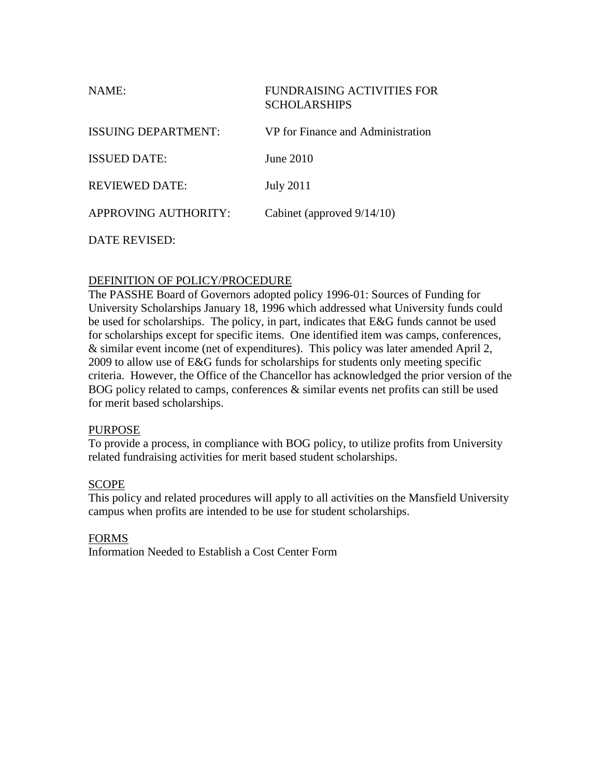| NAME:                 | <b>FUNDRAISING ACTIVITIES FOR</b><br><b>SCHOLARSHIPS</b> |
|-----------------------|----------------------------------------------------------|
| ISSUING DEPARTMENT:   | VP for Finance and Administration                        |
| <b>ISSUED DATE:</b>   | June 2010                                                |
| <b>REVIEWED DATE:</b> | <b>July 2011</b>                                         |
| APPROVING AUTHORITY:  | Cabinet (approved 9/14/10)                               |
| DATE REVISED:         |                                                          |

# DEFINITION OF POLICY/PROCEDURE

The PASSHE Board of Governors adopted policy 1996-01: Sources of Funding for University Scholarships January 18, 1996 which addressed what University funds could be used for scholarships. The policy, in part, indicates that E&G funds cannot be used for scholarships except for specific items. One identified item was camps, conferences, & similar event income (net of expenditures). This policy was later amended April 2, 2009 to allow use of E&G funds for scholarships for students only meeting specific criteria. However, the Office of the Chancellor has acknowledged the prior version of the BOG policy related to camps, conferences & similar events net profits can still be used for merit based scholarships.

# PURPOSE

To provide a process, in compliance with BOG policy, to utilize profits from University related fundraising activities for merit based student scholarships.

# **SCOPE**

This policy and related procedures will apply to all activities on the Mansfield University campus when profits are intended to be use for student scholarships.

#### FORMS

Information Needed to Establish a Cost Center Form